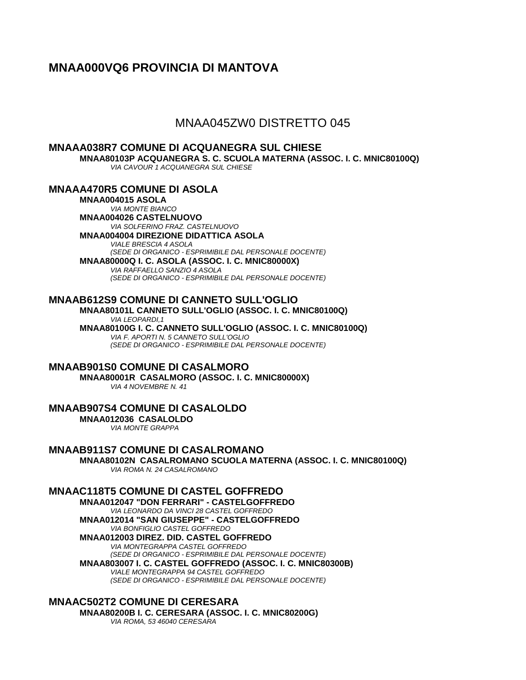# **MNAA000VQ6 PROVINCIA DI MANTOVA**

## MNAA045ZW0 DISTRETTO 045

**MNAAA038R7 COMUNE DI ACQUANEGRA SUL CHIESE MNAA80103P ACQUANEGRA S. C. SCUOLA MATERNA (ASSOC. I. C. MNIC80100Q)** *VIA CAVOUR 1 ACQUANEGRA SUL CHIESE*

**MNAAA470R5 COMUNE DI ASOLA**

**MNAA004015 ASOLA** *VIA MONTE BIANCO* **MNAA004026 CASTELNUOVO** *VIA SOLFERINO FRAZ. CASTELNUOVO* **MNAA004004 DIREZIONE DIDATTICA ASOLA** *VIALE BRESCIA 4 ASOLA (SEDE DI ORGANICO - ESPRIMIBILE DAL PERSONALE DOCENTE)* **MNAA80000Q I. C. ASOLA (ASSOC. I. C. MNIC80000X)** *VIA RAFFAELLO SANZIO 4 ASOLA (SEDE DI ORGANICO - ESPRIMIBILE DAL PERSONALE DOCENTE)*

## **MNAAB612S9 COMUNE DI CANNETO SULL'OGLIO**

**MNAA80101L CANNETO SULL'OGLIO (ASSOC. I. C. MNIC80100Q)** *VIA LEOPARDI,1* **MNAA80100G I. C. CANNETO SULL'OGLIO (ASSOC. I. C. MNIC80100Q)** *VIA F. APORTI N. 5 CANNETO SULL'OGLIO (SEDE DI ORGANICO - ESPRIMIBILE DAL PERSONALE DOCENTE)*

## **MNAAB901S0 COMUNE DI CASALMORO**

**MNAA80001R CASALMORO (ASSOC. I. C. MNIC80000X)** *VIA 4 NOVEMBRE N. 41*

**MNAAB907S4 COMUNE DI CASALOLDO MNAA012036 CASALOLDO** *VIA MONTE GRAPPA*

**MNAAB911S7 COMUNE DI CASALROMANO MNAA80102N CASALROMANO SCUOLA MATERNA (ASSOC. I. C. MNIC80100Q)** *VIA ROMA N. 24 CASALROMANO*

**MNAAC118T5 COMUNE DI CASTEL GOFFREDO**

**MNAA012047 "DON FERRARI" - CASTELGOFFREDO** *VIA LEONARDO DA VINCI 28 CASTEL GOFFREDO* **MNAA012014 "SAN GIUSEPPE" - CASTELGOFFREDO** *VIA BONFIGLIO CASTEL GOFFREDO* **MNAA012003 DIREZ. DID. CASTEL GOFFREDO** *VIA MONTEGRAPPA CASTEL GOFFREDO (SEDE DI ORGANICO - ESPRIMIBILE DAL PERSONALE DOCENTE)* **MNAA803007 I. C. CASTEL GOFFREDO (ASSOC. I. C. MNIC80300B)** *VIALE MONTEGRAPPA 94 CASTEL GOFFREDO*

*(SEDE DI ORGANICO - ESPRIMIBILE DAL PERSONALE DOCENTE)*

**MNAAC502T2 COMUNE DI CERESARA MNAA80200B I. C. CERESARA (ASSOC. I. C. MNIC80200G)** *VIA ROMA, 53 46040 CERESARA*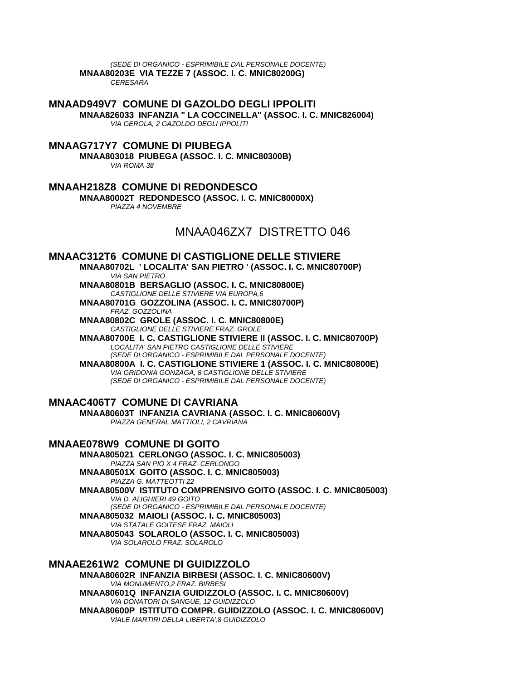*(SEDE DI ORGANICO - ESPRIMIBILE DAL PERSONALE DOCENTE)* **MNAA80203E VIA TEZZE 7 (ASSOC. I. C. MNIC80200G)** *CERESARA*

**MNAAD949V7 COMUNE DI GAZOLDO DEGLI IPPOLITI MNAA826033 INFANZIA " LA COCCINELLA" (ASSOC. I. C. MNIC826004)** *VIA GEROLA, 2 GAZOLDO DEGLI IPPOLITI*

### **MNAAG717Y7 COMUNE DI PIUBEGA**

**MNAA803018 PIUBEGA (ASSOC. I. C. MNIC80300B)** *VIA ROMA 38*

**MNAAH218Z8 COMUNE DI REDONDESCO**

**MNAA80002T REDONDESCO (ASSOC. I. C. MNIC80000X)** *PIAZZA 4 NOVEMBRE*

MNAA046ZX7 DISTRETTO 046

### **MNAAC312T6 COMUNE DI CASTIGLIONE DELLE STIVIERE**

**MNAA80702L ' LOCALITA' SAN PIETRO ' (ASSOC. I. C. MNIC80700P)** *VIA SAN PIETRO*

**MNAA80801B BERSAGLIO (ASSOC. I. C. MNIC80800E)** *CASTIGLIONE DELLE STIVIERE VIA EUROPA,6* **MNAA80701G GOZZOLINA (ASSOC. I. C. MNIC80700P)**

*FRAZ. GOZZOLINA*

**MNAA80802C GROLE (ASSOC. I. C. MNIC80800E)** *CASTIGLIONE DELLE STIVIERE FRAZ. GROLE*

**MNAA80700E I. C. CASTIGLIONE STIVIERE II (ASSOC. I. C. MNIC80700P)** *LOCALITA' SAN PIETRO CASTIGLIONE DELLE STIVIERE (SEDE DI ORGANICO - ESPRIMIBILE DAL PERSONALE DOCENTE)*

**MNAA80800A I. C. CASTIGLIONE STIVIERE 1 (ASSOC. I. C. MNIC80800E)** *VIA GRIDONIA GONZAGA, 8 CASTIGLIONE DELLE STIVIERE (SEDE DI ORGANICO - ESPRIMIBILE DAL PERSONALE DOCENTE)*

## **MNAAC406T7 COMUNE DI CAVRIANA**

**MNAA80603T INFANZIA CAVRIANA (ASSOC. I. C. MNIC80600V)** *PIAZZA GENERAL MATTIOLI, 2 CAVRIANA*

## **MNAAE078W9 COMUNE DI GOITO**

**MNAA805021 CERLONGO (ASSOC. I. C. MNIC805003)** *PIAZZA SAN PIO X 4 FRAZ. CERLONGO* **MNAA80501X GOITO (ASSOC. I. C. MNIC805003)** *PIAZZA G. MATTEOTTI 22* **MNAA80500V ISTITUTO COMPRENSIVO GOITO (ASSOC. I. C. MNIC805003)** *VIA D. ALIGHIERI 49 GOITO (SEDE DI ORGANICO - ESPRIMIBILE DAL PERSONALE DOCENTE)* **MNAA805032 MAIOLI (ASSOC. I. C. MNIC805003)** *VIA STATALE GOITESE FRAZ. MAIOLI*

**MNAA805043 SOLAROLO (ASSOC. I. C. MNIC805003)** *VIA SOLAROLO FRAZ. SOLAROLO*

**MNAAE261W2 COMUNE DI GUIDIZZOLO MNAA80602R INFANZIA BIRBESI (ASSOC. I. C. MNIC80600V)** *VIA MONUMENTO,2 FRAZ. BIRBESI* **MNAA80601Q INFANZIA GUIDIZZOLO (ASSOC. I. C. MNIC80600V)** *VIA DONATORI DI SANGUE, 12 GUIDIZZOLO* **MNAA80600P ISTITUTO COMPR. GUIDIZZOLO (ASSOC. I. C. MNIC80600V)** *VIALE MARTIRI DELLA LIBERTA',8 GUIDIZZOLO*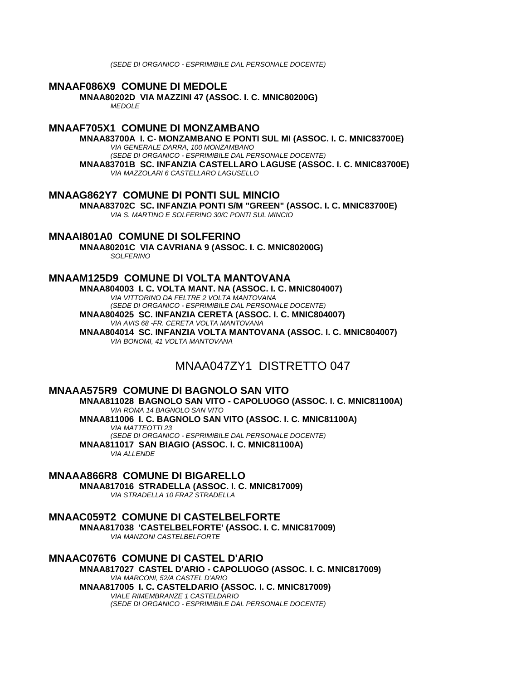*(SEDE DI ORGANICO - ESPRIMIBILE DAL PERSONALE DOCENTE)*

#### **MNAAF086X9 COMUNE DI MEDOLE**

**MNAA80202D VIA MAZZINI 47 (ASSOC. I. C. MNIC80200G)** *MEDOLE*

### **MNAAF705X1 COMUNE DI MONZAMBANO**

**MNAA83700A I. C- MONZAMBANO E PONTI SUL MI (ASSOC. I. C. MNIC83700E)** *VIA GENERALE DARRA, 100 MONZAMBANO (SEDE DI ORGANICO - ESPRIMIBILE DAL PERSONALE DOCENTE)* **MNAA83701B SC. INFANZIA CASTELLARO LAGUSE (ASSOC. I. C. MNIC83700E)** *VIA MAZZOLARI 6 CASTELLARO LAGUSELLO*

### **MNAAG862Y7 COMUNE DI PONTI SUL MINCIO**

**MNAA83702C SC. INFANZIA PONTI S/M "GREEN" (ASSOC. I. C. MNIC83700E)** *VIA S. MARTINO E SOLFERINO 30/C PONTI SUL MINCIO*

## **MNAAI801A0 COMUNE DI SOLFERINO**

**MNAA80201C VIA CAVRIANA 9 (ASSOC. I. C. MNIC80200G)** *SOLFERINO*

### **MNAAM125D9 COMUNE DI VOLTA MANTOVANA**

**MNAA804003 I. C. VOLTA MANT. NA (ASSOC. I. C. MNIC804007)** *VIA VITTORINO DA FELTRE 2 VOLTA MANTOVANA (SEDE DI ORGANICO - ESPRIMIBILE DAL PERSONALE DOCENTE)*

**MNAA804025 SC. INFANZIA CERETA (ASSOC. I. C. MNIC804007)** *VIA AVIS 68 -FR. CERETA VOLTA MANTOVANA*

**MNAA804014 SC. INFANZIA VOLTA MANTOVANA (ASSOC. I. C. MNIC804007)** *VIA BONOMI, 41 VOLTA MANTOVANA*

# MNAA047ZY1 DISTRETTO 047

### **MNAAA575R9 COMUNE DI BAGNOLO SAN VITO**

**MNAA811028 BAGNOLO SAN VITO - CAPOLUOGO (ASSOC. I. C. MNIC81100A)** *VIA ROMA 14 BAGNOLO SAN VITO*

**MNAA811006 I. C. BAGNOLO SAN VITO (ASSOC. I. C. MNIC81100A)** *VIA MATTEOTTI 23 (SEDE DI ORGANICO - ESPRIMIBILE DAL PERSONALE DOCENTE)* **MNAA811017 SAN BIAGIO (ASSOC. I. C. MNIC81100A)**

*VIA ALLENDE*

**MNAAA866R8 COMUNE DI BIGARELLO MNAA817016 STRADELLA (ASSOC. I. C. MNIC817009)** *VIA STRADELLA 10 FRAZ STRADELLA*

## **MNAAC059T2 COMUNE DI CASTELBELFORTE**

**MNAA817038 'CASTELBELFORTE' (ASSOC. I. C. MNIC817009)** *VIA MANZONI CASTELBELFORTE*

#### **MNAAC076T6 COMUNE DI CASTEL D'ARIO MNAA817027 CASTEL D'ARIO - CAPOLUOGO (ASSOC. I. C. MNIC817009)** *VIA MARCONI, 52/A CASTEL D'ARIO* **MNAA817005 I. C. CASTELDARIO (ASSOC. I. C. MNIC817009)** *VIALE RIMEMBRANZE 1 CASTELDARIO*

*(SEDE DI ORGANICO - ESPRIMIBILE DAL PERSONALE DOCENTE)*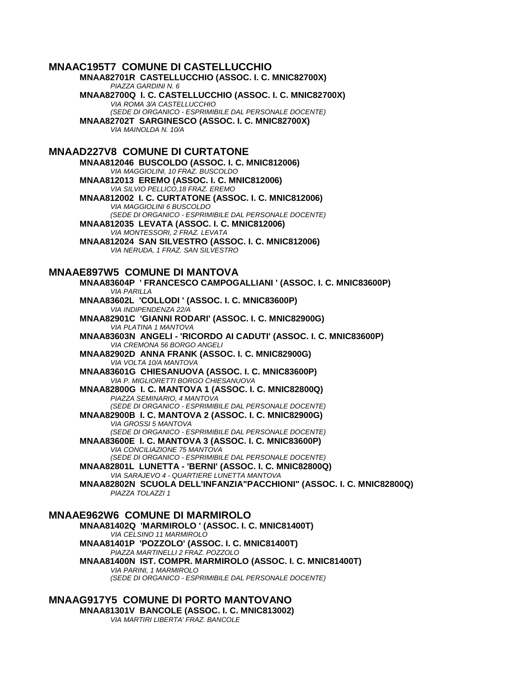### **MNAAC195T7 COMUNE DI CASTELLUCCHIO**

**MNAA82701R CASTELLUCCHIO (ASSOC. I. C. MNIC82700X)** *PIAZZA GARDINI N. 6* **MNAA82700Q I. C. CASTELLUCCHIO (ASSOC. I. C. MNIC82700X)** *VIA ROMA 3/A CASTELLUCCHIO (SEDE DI ORGANICO - ESPRIMIBILE DAL PERSONALE DOCENTE)* **MNAA82702T SARGINESCO (ASSOC. I. C. MNIC82700X)** *VIA MAINOLDA N. 10/A* **MNAAD227V8 COMUNE DI CURTATONE MNAA812046 BUSCOLDO (ASSOC. I. C. MNIC812006)** *VIA MAGGIOLINI, 10 FRAZ. BUSCOLDO* **MNAA812013 EREMO (ASSOC. I. C. MNIC812006)** *VIA SILVIO PELLICO,18 FRAZ. EREMO* **MNAA812002 I. C. CURTATONE (ASSOC. I. C. MNIC812006)** *VIA MAGGIOLINI 6 BUSCOLDO (SEDE DI ORGANICO - ESPRIMIBILE DAL PERSONALE DOCENTE)* **MNAA812035 LEVATA (ASSOC. I. C. MNIC812006)** *VIA MONTESSORI, 2 FRAZ. LEVATA* **MNAA812024 SAN SILVESTRO (ASSOC. I. C. MNIC812006)** *VIA NERUDA, 1 FRAZ. SAN SILVESTRO* **MNAAE897W5 COMUNE DI MANTOVA MNAA83604P ' FRANCESCO CAMPOGALLIANI ' (ASSOC. I. C. MNIC83600P)** *VIA PARILLA* **MNAA83602L 'COLLODI ' (ASSOC. I. C. MNIC83600P)** *VIA INDIPENDENZA 22/A* **MNAA82901C 'GIANNI RODARI' (ASSOC. I. C. MNIC82900G)** *VIA PLATINA 1 MANTOVA* **MNAA83603N ANGELI - 'RICORDO AI CADUTI' (ASSOC. I. C. MNIC83600P)** *VIA CREMONA 56 BORGO ANGELI* **MNAA82902D ANNA FRANK (ASSOC. I. C. MNIC82900G)** *VIA VOLTA 10/A MANTOVA* **MNAA83601G CHIESANUOVA (ASSOC. I. C. MNIC83600P)** *VIA P. MIGLIORETTI BORGO CHIESANUOVA* **MNAA82800G I. C. MANTOVA 1 (ASSOC. I. C. MNIC82800Q)** *PIAZZA SEMINARIO, 4 MANTOVA (SEDE DI ORGANICO - ESPRIMIBILE DAL PERSONALE DOCENTE)* **MNAA82900B I. C. MANTOVA 2 (ASSOC. I. C. MNIC82900G)** *VIA GROSSI 5 MANTOVA (SEDE DI ORGANICO - ESPRIMIBILE DAL PERSONALE DOCENTE)* **MNAA83600E I. C. MANTOVA 3 (ASSOC. I. C. MNIC83600P)** *VIA CONCILIAZIONE 75 MANTOVA (SEDE DI ORGANICO - ESPRIMIBILE DAL PERSONALE DOCENTE)* **MNAA82801L LUNETTA - 'BERNI' (ASSOC. I. C. MNIC82800Q)** *VIA SARAJEVO 4 - QUARTIERE LUNETTA MANTOVA* **MNAA82802N SCUOLA DELL'INFANZIA"PACCHIONI" (ASSOC. I. C. MNIC82800Q)** *PIAZZA TOLAZZI 1* **MNAAE962W6 COMUNE DI MARMIROLO MNAA81402Q 'MARMIROLO ' (ASSOC. I. C. MNIC81400T)** *VIA CELSINO 11 MARMIROLO*

**MNAA81401P 'POZZOLO' (ASSOC. I. C. MNIC81400T)** *PIAZZA MARTINELLI 2 FRAZ. POZZOLO* **MNAA81400N IST. COMPR. MARMIROLO (ASSOC. I. C. MNIC81400T)** *VIA PARINI, 1 MARMIROLO (SEDE DI ORGANICO - ESPRIMIBILE DAL PERSONALE DOCENTE)*

### **MNAAG917Y5 COMUNE DI PORTO MANTOVANO MNAA81301V BANCOLE (ASSOC. I. C. MNIC813002)** *VIA MARTIRI LIBERTA' FRAZ. BANCOLE*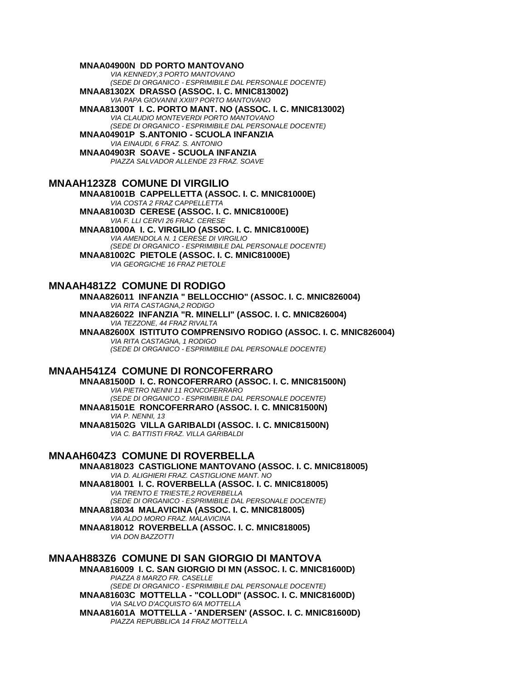#### **MNAA04900N DD PORTO MANTOVANO**

*VIA KENNEDY,3 PORTO MANTOVANO (SEDE DI ORGANICO - ESPRIMIBILE DAL PERSONALE DOCENTE)*

**MNAA81302X DRASSO (ASSOC. I. C. MNIC813002)** *VIA PAPA GIOVANNI XXIII? PORTO MANTOVANO*

**MNAA81300T I. C. PORTO MANT. NO (ASSOC. I. C. MNIC813002)** *VIA CLAUDIO MONTEVERDI PORTO MANTOVANO (SEDE DI ORGANICO - ESPRIMIBILE DAL PERSONALE DOCENTE)*

**MNAA04901P S.ANTONIO - SCUOLA INFANZIA** *VIA EINAUDI, 6 FRAZ. S. ANTONIO*

**MNAA04903R SOAVE - SCUOLA INFANZIA** *PIAZZA SALVADOR ALLENDE 23 FRAZ. SOAVE*

### **MNAAH123Z8 COMUNE DI VIRGILIO**

**MNAA81001B CAPPELLETTA (ASSOC. I. C. MNIC81000E)** *VIA COSTA 2 FRAZ CAPPELLETTA* **MNAA81003D CERESE (ASSOC. I. C. MNIC81000E)** *VIA F. LLI CERVI 26 FRAZ. CERESE*

**MNAA81000A I. C. VIRGILIO (ASSOC. I. C. MNIC81000E)** *VIA AMENDOLA N. 1 CERESE DI VIRGILIO (SEDE DI ORGANICO - ESPRIMIBILE DAL PERSONALE DOCENTE)* **MNAA81002C PIETOLE (ASSOC. I. C. MNIC81000E)** *VIA GEORGICHE 16 FRAZ PIETOLE*

### **MNAAH481Z2 COMUNE DI RODIGO**

**MNAA826011 INFANZIA " BELLOCCHIO" (ASSOC. I. C. MNIC826004)** *VIA RITA CASTAGNA,2 RODIGO* **MNAA826022 INFANZIA "R. MINELLI" (ASSOC. I. C. MNIC826004)** *VIA TEZZONE, 44 FRAZ RIVALTA* **MNAA82600X ISTITUTO COMPRENSIVO RODIGO (ASSOC. I. C. MNIC826004)** *VIA RITA CASTAGNA, 1 RODIGO (SEDE DI ORGANICO - ESPRIMIBILE DAL PERSONALE DOCENTE)*

### **MNAAH541Z4 COMUNE DI RONCOFERRARO**

**MNAA81500D I. C. RONCOFERRARO (ASSOC. I. C. MNIC81500N)** *VIA PIETRO NENNI 11 RONCOFERRARO (SEDE DI ORGANICO - ESPRIMIBILE DAL PERSONALE DOCENTE)* **MNAA81501E RONCOFERRARO (ASSOC. I. C. MNIC81500N)** *VIA P. NENNI, 13* **MNAA81502G VILLA GARIBALDI (ASSOC. I. C. MNIC81500N)** *VIA C. BATTISTI FRAZ. VILLA GARIBALDI*

### **MNAAH604Z3 COMUNE DI ROVERBELLA**

**MNAA818023 CASTIGLIONE MANTOVANO (ASSOC. I. C. MNIC818005)** *VIA D. ALIGHIERI FRAZ. CASTIGLIONE MANT. NO* **MNAA818001 I. C. ROVERBELLA (ASSOC. I. C. MNIC818005)** *VIA TRENTO E TRIESTE,2 ROVERBELLA (SEDE DI ORGANICO - ESPRIMIBILE DAL PERSONALE DOCENTE)* **MNAA818034 MALAVICINA (ASSOC. I. C. MNIC818005)** *VIA ALDO MORO FRAZ. MALAVICINA*

**MNAA818012 ROVERBELLA (ASSOC. I. C. MNIC818005)** *VIA DON BAZZOTTI*

### **MNAAH883Z6 COMUNE DI SAN GIORGIO DI MANTOVA**

**MNAA816009 I. C. SAN GIORGIO DI MN (ASSOC. I. C. MNIC81600D)** *PIAZZA 8 MARZO FR. CASELLE (SEDE DI ORGANICO - ESPRIMIBILE DAL PERSONALE DOCENTE)* **MNAA81603C MOTTELLA - "COLLODI" (ASSOC. I. C. MNIC81600D)** *VIA SALVO D'ACQUISTO 6/A MOTTELLA* **MNAA81601A MOTTELLA - 'ANDERSEN' (ASSOC. I. C. MNIC81600D)** *PIAZZA REPUBBLICA 14 FRAZ MOTTELLA*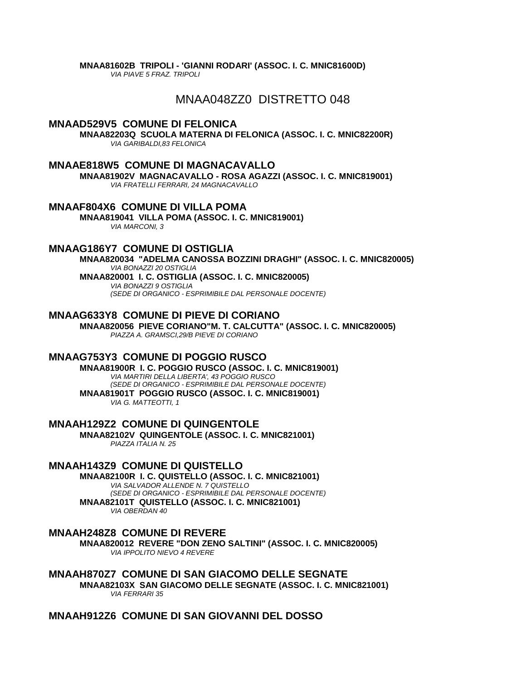**MNAA81602B TRIPOLI - 'GIANNI RODARI' (ASSOC. I. C. MNIC81600D)** *VIA PIAVE 5 FRAZ. TRIPOLI*

# MNAA048ZZ0 DISTRETTO 048

### **MNAAD529V5 COMUNE DI FELONICA**

**MNAA82203Q SCUOLA MATERNA DI FELONICA (ASSOC. I. C. MNIC82200R)** *VIA GARIBALDI,83 FELONICA*

### **MNAAE818W5 COMUNE DI MAGNACAVALLO**

**MNAA81902V MAGNACAVALLO - ROSA AGAZZI (ASSOC. I. C. MNIC819001)** *VIA FRATELLI FERRARI, 24 MAGNACAVALLO*

**MNAAF804X6 COMUNE DI VILLA POMA**

**MNAA819041 VILLA POMA (ASSOC. I. C. MNIC819001)** *VIA MARCONI, 3*

### **MNAAG186Y7 COMUNE DI OSTIGLIA**

**MNAA820034 "ADELMA CANOSSA BOZZINI DRAGHI" (ASSOC. I. C. MNIC820005)** *VIA BONAZZI 20 OSTIGLIA* **MNAA820001 I. C. OSTIGLIA (ASSOC. I. C. MNIC820005)** *VIA BONAZZI 9 OSTIGLIA*

*(SEDE DI ORGANICO - ESPRIMIBILE DAL PERSONALE DOCENTE)*

### **MNAAG633Y8 COMUNE DI PIEVE DI CORIANO**

**MNAA820056 PIEVE CORIANO"M. T. CALCUTTA" (ASSOC. I. C. MNIC820005)** *PIAZZA A. GRAMSCI,29/B PIEVE DI CORIANO*

### **MNAAG753Y3 COMUNE DI POGGIO RUSCO**

**MNAA81900R I. C. POGGIO RUSCO (ASSOC. I. C. MNIC819001)** *VIA MARTIRI DELLA LIBERTA', 43 POGGIO RUSCO (SEDE DI ORGANICO - ESPRIMIBILE DAL PERSONALE DOCENTE)* **MNAA81901T POGGIO RUSCO (ASSOC. I. C. MNIC819001)** *VIA G. MATTEOTTI, 1*

**MNAAH129Z2 COMUNE DI QUINGENTOLE MNAA82102V QUINGENTOLE (ASSOC. I. C. MNIC821001)** *PIAZZA ITALIA N. 25*

## **MNAAH143Z9 COMUNE DI QUISTELLO**

**MNAA82100R I. C. QUISTELLO (ASSOC. I. C. MNIC821001)** *VIA SALVADOR ALLENDE N. 7 QUISTELLO (SEDE DI ORGANICO - ESPRIMIBILE DAL PERSONALE DOCENTE)* **MNAA82101T QUISTELLO (ASSOC. I. C. MNIC821001)** *VIA OBERDAN 40*

### **MNAAH248Z8 COMUNE DI REVERE**

**MNAA820012 REVERE "DON ZENO SALTINI" (ASSOC. I. C. MNIC820005)** *VIA IPPOLITO NIEVO 4 REVERE*

**MNAAH870Z7 COMUNE DI SAN GIACOMO DELLE SEGNATE MNAA82103X SAN GIACOMO DELLE SEGNATE (ASSOC. I. C. MNIC821001)** *VIA FERRARI 35*

### **MNAAH912Z6 COMUNE DI SAN GIOVANNI DEL DOSSO**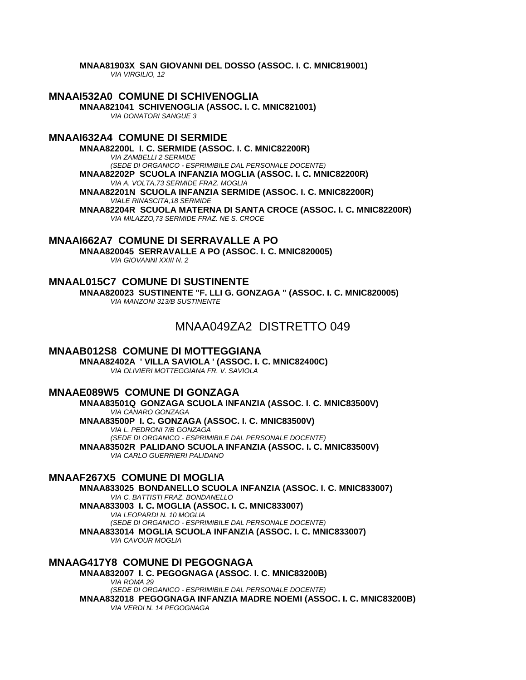MNAA81903X SAN GIOVANNI DEL DOSSO (ASSOC. I. C. MNIC819001) VIA VIRGILIO, 12

**MNAAI532A0 COMUNE DI SCHIVENOGLIA** MNAA821041 SCHIVENOGLIA (ASSOC. I. C. MNIC821001) **VIA DONATORI SANGUE 3** 

## **MNAAI632A4 COMUNE DI SERMIDE**

MNAA82200L I. C. SERMIDE (ASSOC. I. C. MNIC82200R) **VIA ZAMBELLI 2 SERMIDE** (SEDE DI ORGANICO - ESPRIMIBILE DAL PERSONALE DOCENTE) MNAA82202P SCUOLA INFANZIA MOGLIA (ASSOC. I. C. MNIC82200R) VIA A. VOLTA, 73 SERMIDE FRAZ. MOGLIA MNAA82201N SCUOLA INFANZIA SERMIDE (ASSOC. I. C. MNIC82200R) **VIALE RINASCITA.18 SERMIDE** MNAA82204R SCUOLA MATERNA DI SANTA CROCE (ASSOC. I. C. MNIC82200R) VIA MILAZZO.73 SERMIDE FRAZ. NE S. CROCE

## **MNAAI662A7 COMUNE DI SERRAVALLE A PO**

MNAA820045 SERRAVALLE A PO (ASSOC. I. C. MNIC820005) VIA GIOVANNI XXIII N. 2

**MNAAL015C7 COMUNE DI SUSTINENTE** MNAA820023 SUSTINENTE "F. LLI G. GONZAGA " (ASSOC. I. C. MNIC820005) VIA MANZONI 313/B SUSTINENTE

# MNAA049ZA2 DISTRETTO 049

**MNAAB012S8 COMUNE DI MOTTEGGIANA** 

MNAA82402A ' VILLA SAVIOLA ' (ASSOC. I. C. MNIC82400C) VIA OLIVIERI MOTTEGGIANA FR. V. SAVIOLA

**MNAAE089W5 COMUNE DI GONZAGA** 

MNAA83501Q GONZAGA SCUOLA INFANZIA (ASSOC. I. C. MNIC83500V) VIA CANARO GONZAGA MNAA83500P I. C. GONZAGA (ASSOC. I. C. MNIC83500V) VIA L. PEDRONI 7/B GONZAGA (SEDE DI ORGANICO - ESPRIMIBILE DAL PERSONALE DOCENTE) MNAA83502R PALIDANO SCUOLA INFANZIA (ASSOC. I. C. MNIC83500V) VIA CARLO GUERRIERI PALIDANO

## **MNAAF267X5 COMUNE DI MOGLIA**

MNAA833025 BONDANELLO SCUOLA INFANZIA (ASSOC. I. C. MNIC833007) VIA C. BATTISTI FRAZ. BONDANELLO MNAA833003 I. C. MOGLIA (ASSOC. I. C. MNIC833007) VIA LEOPARDI N. 10 MOGLIA (SEDE DI ORGANICO - ESPRIMIBILE DAL PERSONALE DOCENTE) MNAA833014 MOGLIA SCUOLA INFANZIA (ASSOC. I. C. MNIC833007) **VIA CAVOUR MOGLIA** 

#### **MNAAG417Y8 COMUNE DI PEGOGNAGA** MNAA832007 I.C. PEGOGNAGA (ASSOC. I.C. MNIC83200B) VIA ROMA 29 (SEDE DI ORGANICO - ESPRIMIBILE DAL PERSONALE DOCENTE) MNAA832018 PEGOGNAGA INFANZIA MADRE NOEMI (ASSOC. I. C. MNIC83200B) VIA VERDI N. 14 PEGOGNAGA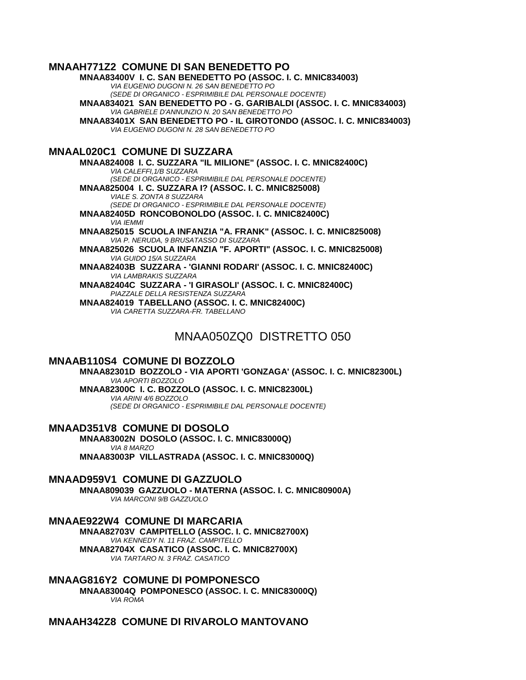## **MNAAH771Z2 COMUNE DI SAN BENEDETTO PO**

**MNAA83400V I. C. SAN BENEDETTO PO (ASSOC. I. C. MNIC834003)** *VIA EUGENIO DUGONI N. 26 SAN BENEDETTO PO (SEDE DI ORGANICO - ESPRIMIBILE DAL PERSONALE DOCENTE)* **MNAA834021 SAN BENEDETTO PO - G. GARIBALDI (ASSOC. I. C. MNIC834003)** *VIA GABRIELE D'ANNUNZIO N. 20 SAN BENEDETTO PO* **MNAA83401X SAN BENEDETTO PO - IL GIROTONDO (ASSOC. I. C. MNIC834003)** *VIA EUGENIO DUGONI N. 28 SAN BENEDETTO PO* **MNAAL020C1 COMUNE DI SUZZARA MNAA824008 I. C. SUZZARA "IL MILIONE" (ASSOC. I. C. MNIC82400C)** *VIA CALEFFI,1/B SUZZARA (SEDE DI ORGANICO - ESPRIMIBILE DAL PERSONALE DOCENTE)* **MNAA825004 I. C. SUZZARA I? (ASSOC. I. C. MNIC825008)** *VIALE S. ZONTA 8 SUZZARA (SEDE DI ORGANICO - ESPRIMIBILE DAL PERSONALE DOCENTE)* **MNAA82405D RONCOBONOLDO (ASSOC. I. C. MNIC82400C)** *VIA IEMMI* **MNAA825015 SCUOLA INFANZIA "A. FRANK" (ASSOC. I. C. MNIC825008)** *VIA P. NERUDA, 9 BRUSATASSO DI SUZZARA* **MNAA825026 SCUOLA INFANZIA "F. APORTI" (ASSOC. I. C. MNIC825008)** *VIA GUIDO 15/A SUZZARA* **MNAA82403B SUZZARA - 'GIANNI RODARI' (ASSOC. I. C. MNIC82400C)** *VIA LAMBRAKIS SUZZARA* **MNAA82404C SUZZARA - 'I GIRASOLI' (ASSOC. I. C. MNIC82400C)** *PIAZZALE DELLA RESISTENZA SUZZARA* **MNAA824019 TABELLANO (ASSOC. I. C. MNIC82400C)** *VIA CARETTA SUZZARA-FR. TABELLANO*

# MNAA050ZQ0 DISTRETTO 050

## **MNAAB110S4 COMUNE DI BOZZOLO**

**MNAA82301D BOZZOLO - VIA APORTI 'GONZAGA' (ASSOC. I. C. MNIC82300L)** *VIA APORTI BOZZOLO* **MNAA82300C I. C. BOZZOLO (ASSOC. I. C. MNIC82300L)** *VIA ARINI 4/6 BOZZOLO (SEDE DI ORGANICO - ESPRIMIBILE DAL PERSONALE DOCENTE)*

**MNAAD351V8 COMUNE DI DOSOLO**

**MNAA83002N DOSOLO (ASSOC. I. C. MNIC83000Q)** *VIA 8 MARZO* **MNAA83003P VILLASTRADA (ASSOC. I. C. MNIC83000Q)**

### **MNAAD959V1 COMUNE DI GAZZUOLO**

**MNAA809039 GAZZUOLO - MATERNA (ASSOC. I. C. MNIC80900A)** *VIA MARCONI 9/B GAZZUOLO*

### **MNAAE922W4 COMUNE DI MARCARIA**

**MNAA82703V CAMPITELLO (ASSOC. I. C. MNIC82700X)** *VIA KENNEDY N. 11 FRAZ. CAMPITELLO* **MNAA82704X CASATICO (ASSOC. I. C. MNIC82700X)** *VIA TARTARO N. 3 FRAZ. CASATICO*

**MNAAG816Y2 COMUNE DI POMPONESCO MNAA83004Q POMPONESCO (ASSOC. I. C. MNIC83000Q)** *VIA ROMA*

**MNAAH342Z8 COMUNE DI RIVAROLO MANTOVANO**